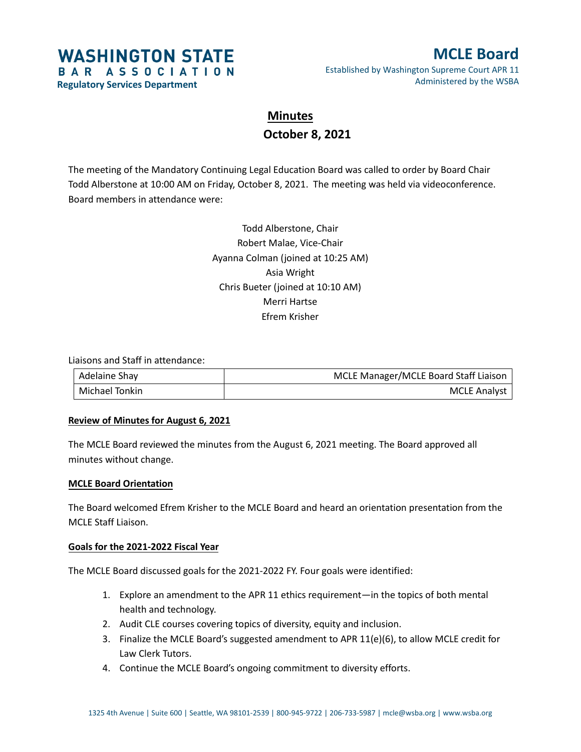# **WASHINGTON STATE** BAR ASSOCIATION

**Regulatory Services Department**

### **MCLE Board** Established by Washington Supreme Court APR 11 Administered by the WSBA

## **Minutes October 8, 2021**

The meeting of the Mandatory Continuing Legal Education Board was called to order by Board Chair Todd Alberstone at 10:00 AM on Friday, October 8, 2021. The meeting was held via videoconference. Board members in attendance were:

> Todd Alberstone, Chair Robert Malae, Vice-Chair Ayanna Colman (joined at 10:25 AM) Asia Wright Chris Bueter (joined at 10:10 AM) Merri Hartse Efrem Krisher

Liaisons and Staff in attendance:

| Adelaine Shay  | MCLE Manager/MCLE Board Staff Liaison |
|----------------|---------------------------------------|
| Michael Tonkin | <b>MCLE Analyst</b>                   |

#### **Review of Minutes for August 6, 2021**

The MCLE Board reviewed the minutes from the August 6, 2021 meeting. The Board approved all minutes without change.

#### **MCLE Board Orientation**

The Board welcomed Efrem Krisher to the MCLE Board and heard an orientation presentation from the MCLE Staff Liaison.

#### **Goals for the 2021-2022 Fiscal Year**

The MCLE Board discussed goals for the 2021-2022 FY. Four goals were identified:

- 1. Explore an amendment to the APR 11 ethics requirement—in the topics of both mental health and technology.
- 2. Audit CLE courses covering topics of diversity, equity and inclusion.
- 3. Finalize the MCLE Board's suggested amendment to APR 11(e)(6), to allow MCLE credit for Law Clerk Tutors.
- 4. Continue the MCLE Board's ongoing commitment to diversity efforts.